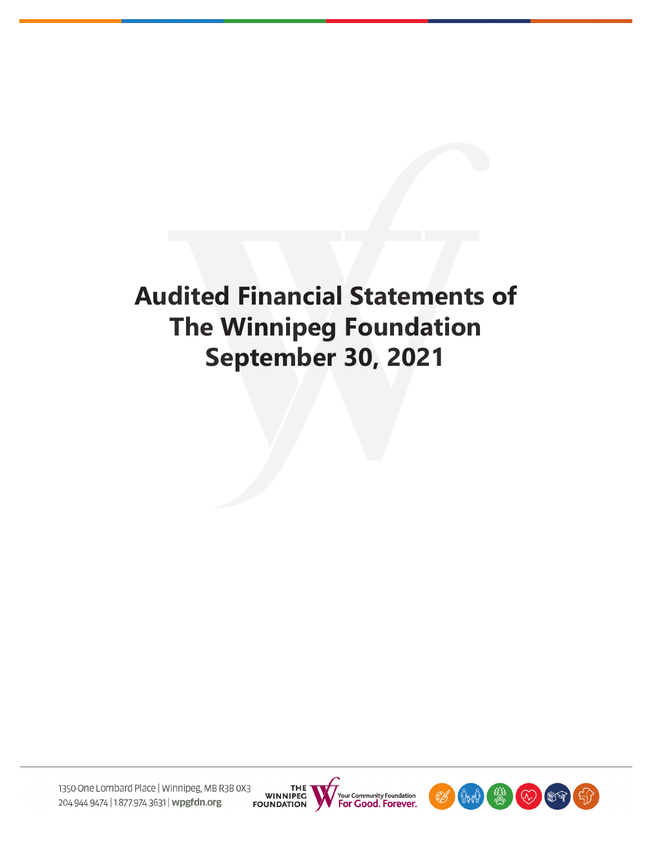# **Audited Financial Statements of The Winnipeg Foundation September 30, 2021**



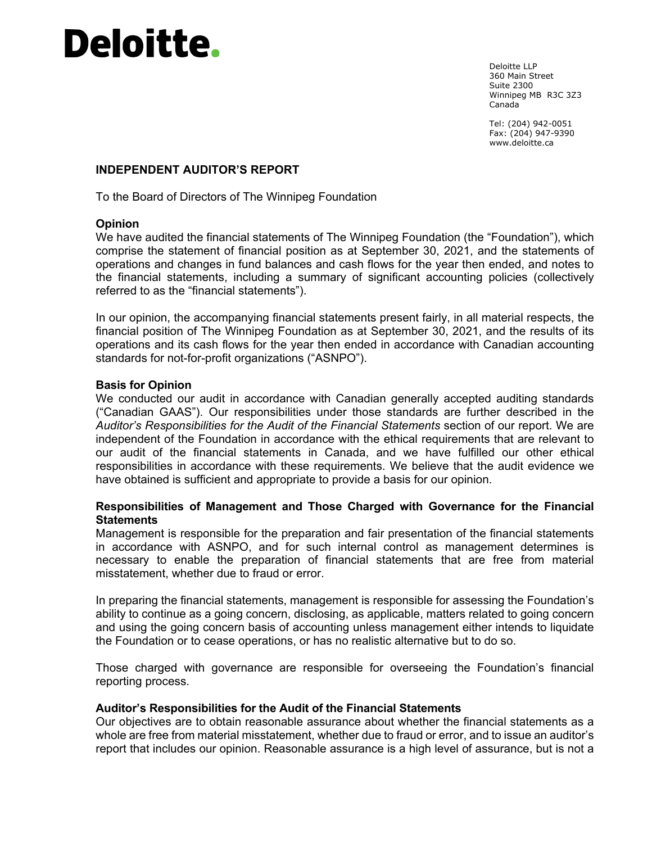# **Deloitte.**

Deloitte LLP 360 Main Street Suite 2300 Winnipeg MB R3C 3Z3 Canada

Tel: (204) 942-0051 Fax: (204) 947-9390 www.deloitte.ca

#### **INDEPENDENT AUDITOR'S REPORT**

To the Board of Directors of The Winnipeg Foundation

#### **Opinion**

We have audited the financial statements of The Winnipeg Foundation (the "Foundation"), which comprise the statement of financial position as at September 30, 2021, and the statements of operations and changes in fund balances and cash flows for the year then ended, and notes to the financial statements, including a summary of significant accounting policies (collectively referred to as the "financial statements").

In our opinion, the accompanying financial statements present fairly, in all material respects, the financial position of The Winnipeg Foundation as at September 30, 2021, and the results of its operations and its cash flows for the year then ended in accordance with Canadian accounting standards for not-for-profit organizations ("ASNPO").

#### **Basis for Opinion**

We conducted our audit in accordance with Canadian generally accepted auditing standards ("Canadian GAAS"). Our responsibilities under those standards are further described in the *Auditor's Responsibilities for the Audit of the Financial Statements* section of our report. We are independent of the Foundation in accordance with the ethical requirements that are relevant to our audit of the financial statements in Canada, and we have fulfilled our other ethical responsibilities in accordance with these requirements. We believe that the audit evidence we have obtained is sufficient and appropriate to provide a basis for our opinion.

#### **Responsibilities of Management and Those Charged with Governance for the Financial Statements**

Management is responsible for the preparation and fair presentation of the financial statements in accordance with ASNPO, and for such internal control as management determines is necessary to enable the preparation of financial statements that are free from material misstatement, whether due to fraud or error.

In preparing the financial statements, management is responsible for assessing the Foundation's ability to continue as a going concern, disclosing, as applicable, matters related to going concern and using the going concern basis of accounting unless management either intends to liquidate the Foundation or to cease operations, or has no realistic alternative but to do so.

Those charged with governance are responsible for overseeing the Foundation's financial reporting process.

#### **Auditor's Responsibilities for the Audit of the Financial Statements**

Our objectives are to obtain reasonable assurance about whether the financial statements as a whole are free from material misstatement, whether due to fraud or error, and to issue an auditor's report that includes our opinion. Reasonable assurance is a high level of assurance, but is not a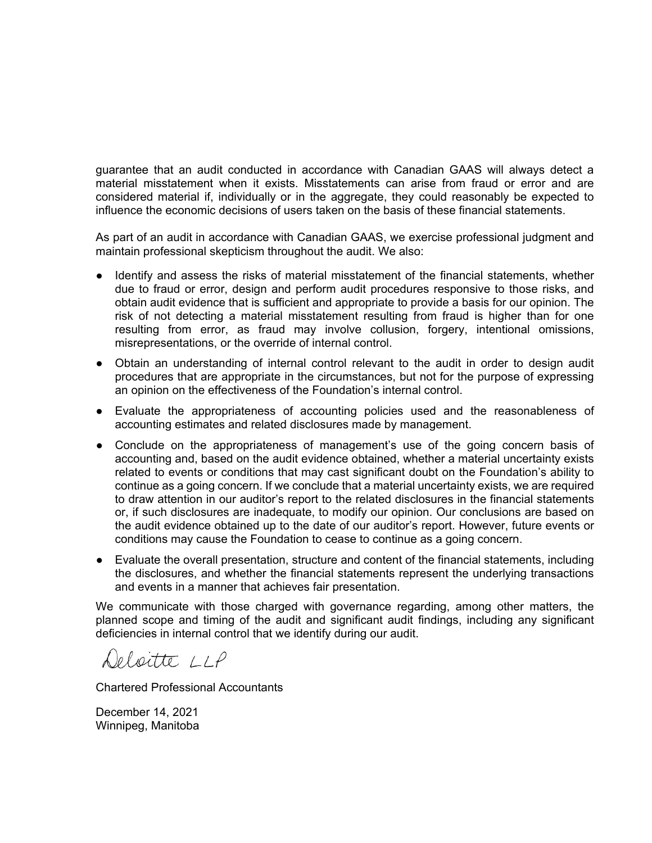guarantee that an audit conducted in accordance with Canadian GAAS will always detect a material misstatement when it exists. Misstatements can arise from fraud or error and are considered material if, individually or in the aggregate, they could reasonably be expected to influence the economic decisions of users taken on the basis of these financial statements.

As part of an audit in accordance with Canadian GAAS, we exercise professional judgment and maintain professional skepticism throughout the audit. We also:

- Identify and assess the risks of material misstatement of the financial statements, whether due to fraud or error, design and perform audit procedures responsive to those risks, and obtain audit evidence that is sufficient and appropriate to provide a basis for our opinion. The risk of not detecting a material misstatement resulting from fraud is higher than for one resulting from error, as fraud may involve collusion, forgery, intentional omissions, misrepresentations, or the override of internal control.
- Obtain an understanding of internal control relevant to the audit in order to design audit procedures that are appropriate in the circumstances, but not for the purpose of expressing an opinion on the effectiveness of the Foundation's internal control.
- Evaluate the appropriateness of accounting policies used and the reasonableness of accounting estimates and related disclosures made by management.
- Conclude on the appropriateness of management's use of the going concern basis of accounting and, based on the audit evidence obtained, whether a material uncertainty exists related to events or conditions that may cast significant doubt on the Foundation's ability to continue as a going concern. If we conclude that a material uncertainty exists, we are required to draw attention in our auditor's report to the related disclosures in the financial statements or, if such disclosures are inadequate, to modify our opinion. Our conclusions are based on the audit evidence obtained up to the date of our auditor's report. However, future events or conditions may cause the Foundation to cease to continue as a going concern.
- Evaluate the overall presentation, structure and content of the financial statements, including the disclosures, and whether the financial statements represent the underlying transactions and events in a manner that achieves fair presentation.

We communicate with those charged with governance regarding, among other matters, the planned scope and timing of the audit and significant audit findings, including any significant deficiencies in internal control that we identify during our audit.

Deloitte LLP

Chartered Professional Accountants

December 14, 2021 Winnipeg, Manitoba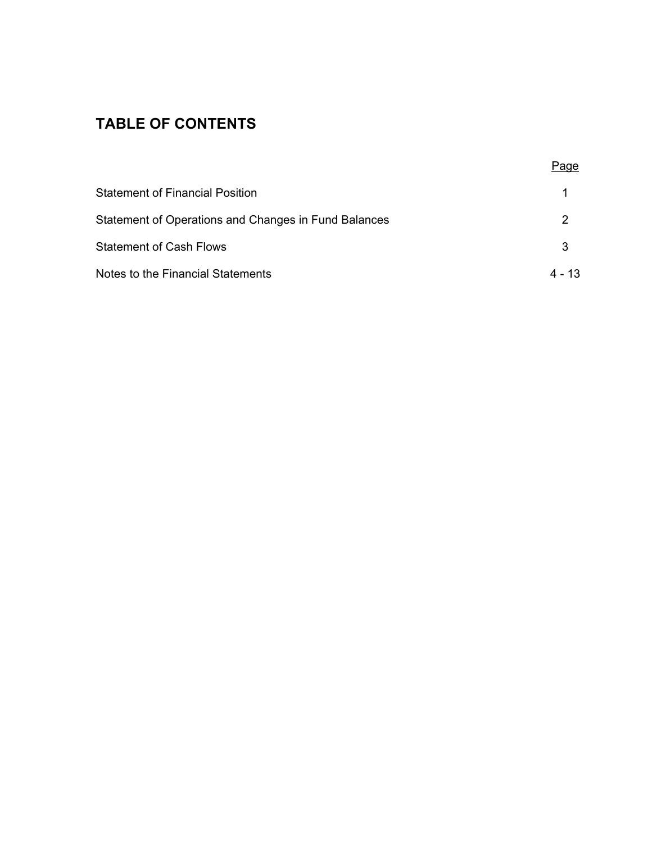# **TABLE OF CONTENTS**

| Statement of Financial Position                      |          |
|------------------------------------------------------|----------|
| Statement of Operations and Changes in Fund Balances |          |
| Statement of Cash Flows                              | 3        |
| Notes to the Financial Statements                    | $4 - 13$ |

**Page**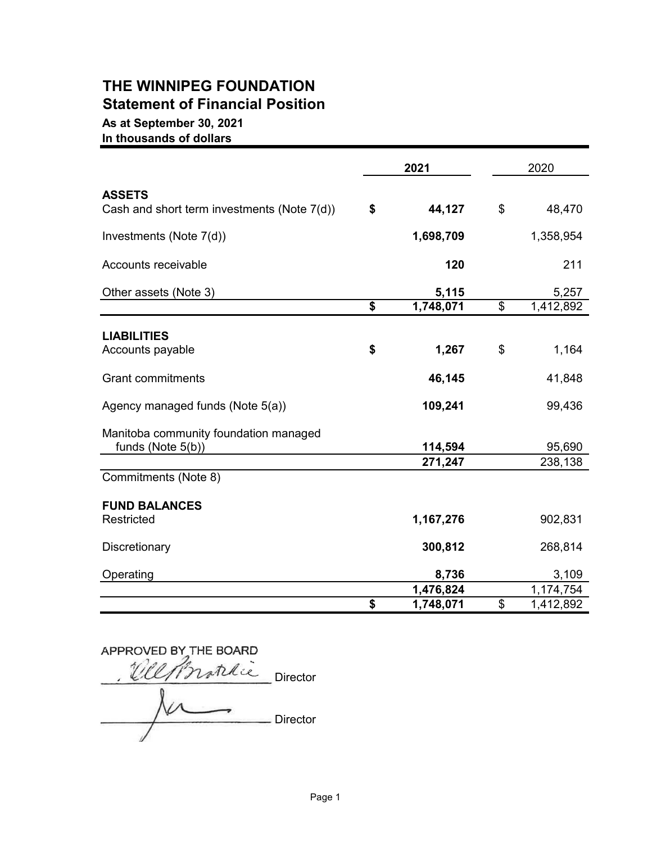# **THE WINNIPEG FOUNDATION Statement of Financial Position**

**As at September 30, 2021**

**In thousands of dollars**

|                                                              | 2021 |           | 2020            |
|--------------------------------------------------------------|------|-----------|-----------------|
| <b>ASSETS</b><br>Cash and short term investments (Note 7(d)) | \$   | 44,127    | \$<br>48,470    |
| Investments (Note 7(d))                                      |      | 1,698,709 | 1,358,954       |
| Accounts receivable                                          |      | 120       | 211             |
| Other assets (Note 3)                                        |      | 5,115     | 5,257           |
|                                                              | \$   | 1,748,071 | \$<br>1,412,892 |
| <b>LIABILITIES</b>                                           |      |           |                 |
| Accounts payable                                             | \$   | 1,267     | \$<br>1,164     |
| <b>Grant commitments</b>                                     |      | 46,145    | 41,848          |
| Agency managed funds (Note 5(a))                             |      | 109,241   | 99,436          |
| Manitoba community foundation managed<br>funds (Note 5(b))   |      | 114,594   | 95,690          |
|                                                              |      | 271,247   | 238,138         |
| Commitments (Note 8)                                         |      |           |                 |
| <b>FUND BALANCES</b>                                         |      |           |                 |
| Restricted                                                   |      | 1,167,276 | 902,831         |
| Discretionary                                                |      | 300,812   | 268,814         |
| Operating                                                    |      | 8,736     | 3,109           |
|                                                              |      | 1,476,824 | 1,174,754       |
|                                                              | \$   | 1,748,071 | \$<br>1,412,892 |

APPROVED BY THE BOARD

 $L^2$ \_\_\_\_\_\_\_\_\_\_\_\_\_\_\_\_\_\_\_\_\_\_\_\_\_\_ Director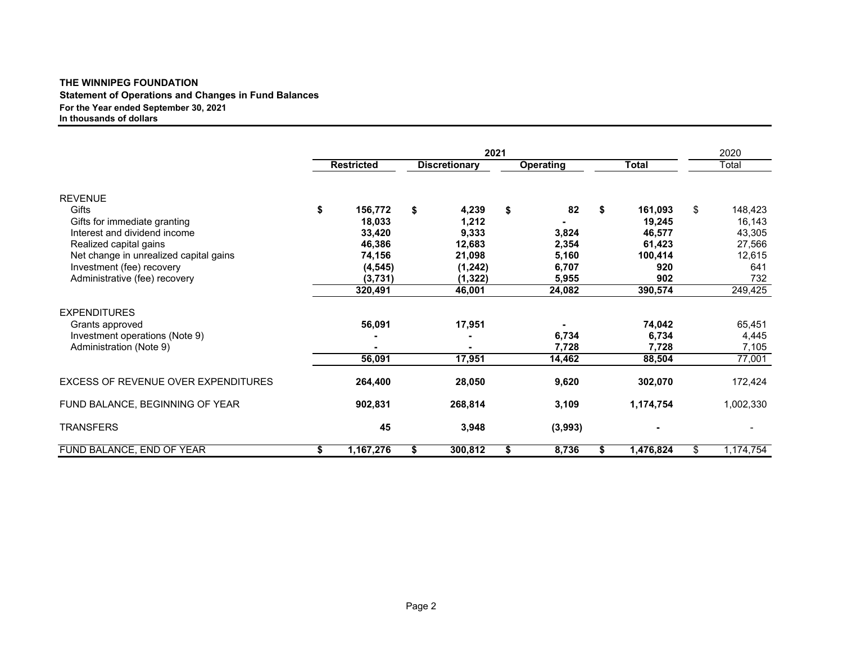#### **THE WINNIPEG FOUNDATION Statement of Operations and Changes in Fund Balances For the Year ended September 30, 2021 In thousands of dollars**

|                                                                                                                                                                                                                           | 2021 |                                                                                   |    |                                                                               |                                                                 | 2020                                                                            |    |                                                                          |
|---------------------------------------------------------------------------------------------------------------------------------------------------------------------------------------------------------------------------|------|-----------------------------------------------------------------------------------|----|-------------------------------------------------------------------------------|-----------------------------------------------------------------|---------------------------------------------------------------------------------|----|--------------------------------------------------------------------------|
|                                                                                                                                                                                                                           |      | <b>Restricted</b>                                                                 |    | <b>Discretionary</b>                                                          | <b>Operating</b>                                                | Total                                                                           |    | Total                                                                    |
| <b>REVENUE</b><br>Gifts<br>Gifts for immediate granting<br>Interest and dividend income<br>Realized capital gains<br>Net change in unrealized capital gains<br>Investment (fee) recovery<br>Administrative (fee) recovery | \$   | 156,772<br>18,033<br>33,420<br>46,386<br>74,156<br>(4, 545)<br>(3,731)<br>320,491 | \$ | 4,239<br>1,212<br>9,333<br>12,683<br>21,098<br>(1, 242)<br>(1, 322)<br>46,001 | \$<br>82<br>3,824<br>2,354<br>5,160<br>6,707<br>5,955<br>24,082 | \$<br>161,093<br>19,245<br>46,577<br>61,423<br>100,414<br>920<br>902<br>390,574 | \$ | 148,423<br>16,143<br>43,305<br>27,566<br>12,615<br>641<br>732<br>249,425 |
| <b>EXPENDITURES</b>                                                                                                                                                                                                       |      |                                                                                   |    |                                                                               |                                                                 |                                                                                 |    |                                                                          |
| Grants approved                                                                                                                                                                                                           |      | 56,091                                                                            |    | 17,951                                                                        |                                                                 | 74,042                                                                          |    | 65,451                                                                   |
| Investment operations (Note 9)                                                                                                                                                                                            |      |                                                                                   |    |                                                                               | 6,734                                                           | 6,734                                                                           |    | 4,445                                                                    |
| Administration (Note 9)                                                                                                                                                                                                   |      |                                                                                   |    |                                                                               | 7,728                                                           | 7,728                                                                           |    | 7,105                                                                    |
|                                                                                                                                                                                                                           |      | 56,091                                                                            |    | 17,951                                                                        | 14,462                                                          | 88,504                                                                          |    | 77,001                                                                   |
| EXCESS OF REVENUE OVER EXPENDITURES                                                                                                                                                                                       |      | 264,400                                                                           |    | 28,050                                                                        | 9,620                                                           | 302,070                                                                         |    | 172,424                                                                  |
| FUND BALANCE, BEGINNING OF YEAR                                                                                                                                                                                           |      | 902,831                                                                           |    | 268,814                                                                       | 3,109                                                           | 1,174,754                                                                       |    | 1,002,330                                                                |
| <b>TRANSFERS</b>                                                                                                                                                                                                          |      | 45                                                                                |    | 3,948                                                                         | (3,993)                                                         |                                                                                 |    |                                                                          |
| FUND BALANCE, END OF YEAR                                                                                                                                                                                                 | \$   | 1,167,276                                                                         | s. | 300,812                                                                       | 8,736                                                           | 1,476,824                                                                       | S  | 1, 174, 754                                                              |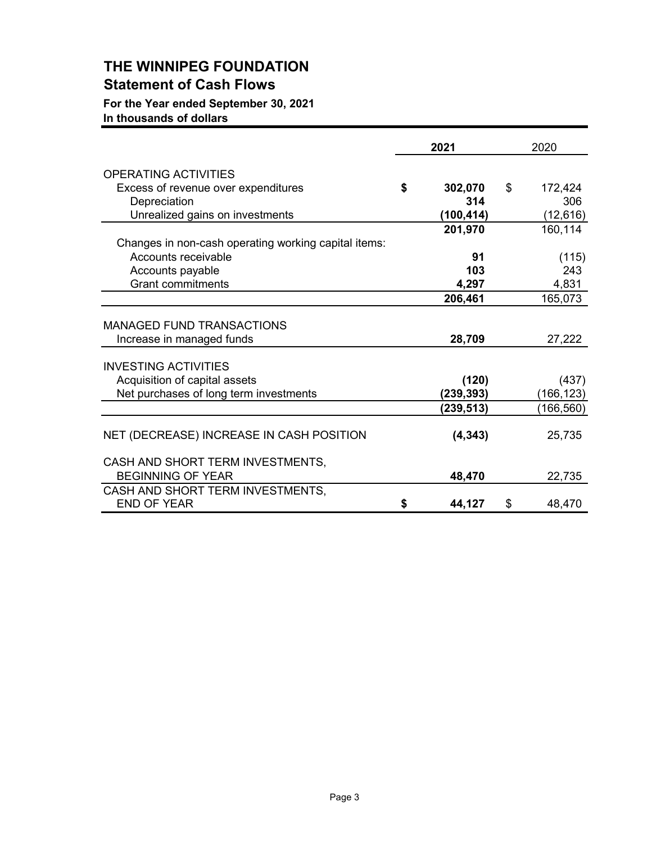### **THE WINNIPEG FOUNDATION Statement of Cash Flows**

#### **For the Year ended September 30, 2021 In thousands of dollars**

|                                                      | 2021          | 2020          |
|------------------------------------------------------|---------------|---------------|
| <b>OPERATING ACTIVITIES</b>                          |               |               |
| Excess of revenue over expenditures                  | \$<br>302,070 | \$<br>172,424 |
| Depreciation                                         | 314           | 306           |
| Unrealized gains on investments                      | (100,414)     | (12, 616)     |
|                                                      | 201,970       | 160,114       |
| Changes in non-cash operating working capital items: |               |               |
| Accounts receivable                                  | 91            | (115)         |
| Accounts payable                                     | 103           | 243           |
| <b>Grant commitments</b>                             | 4,297         | 4,831         |
|                                                      | 206,461       | 165,073       |
|                                                      |               |               |
| <b>MANAGED FUND TRANSACTIONS</b>                     |               |               |
| Increase in managed funds                            | 28,709        | 27,222        |
| <b>INVESTING ACTIVITIES</b>                          |               |               |
| Acquisition of capital assets                        | (120)         | (437)         |
| Net purchases of long term investments               | (239, 393)    | (166, 123)    |
|                                                      | (239,513)     | (166,560)     |
|                                                      |               |               |
| NET (DECREASE) INCREASE IN CASH POSITION             | (4, 343)      | 25,735        |
| CASH AND SHORT TERM INVESTMENTS,                     |               |               |
| <b>BEGINNING OF YEAR</b>                             | 48,470        | 22,735        |
| CASH AND SHORT TERM INVESTMENTS,                     |               |               |
| <b>END OF YEAR</b>                                   | \$<br>44,127  | \$<br>48,470  |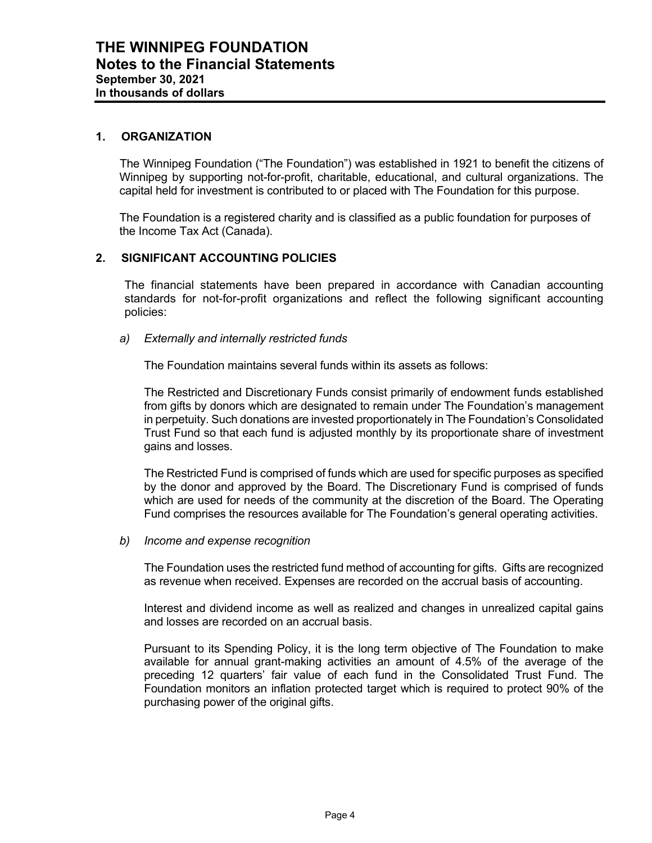#### **1. ORGANIZATION**

The Winnipeg Foundation ("The Foundation") was established in 1921 to benefit the citizens of Winnipeg by supporting not-for-profit, charitable, educational, and cultural organizations. The capital held for investment is contributed to or placed with The Foundation for this purpose.

The Foundation is a registered charity and is classified as a public foundation for purposes of the Income Tax Act (Canada).

#### **2. SIGNIFICANT ACCOUNTING POLICIES**

The financial statements have been prepared in accordance with Canadian accounting standards for not-for-profit organizations and reflect the following significant accounting policies:

*a) Externally and internally restricted funds* 

The Foundation maintains several funds within its assets as follows:

The Restricted and Discretionary Funds consist primarily of endowment funds established from gifts by donors which are designated to remain under The Foundation's management in perpetuity. Such donations are invested proportionately in The Foundation's Consolidated Trust Fund so that each fund is adjusted monthly by its proportionate share of investment gains and losses.

The Restricted Fund is comprised of funds which are used for specific purposes as specified by the donor and approved by the Board. The Discretionary Fund is comprised of funds which are used for needs of the community at the discretion of the Board. The Operating Fund comprises the resources available for The Foundation's general operating activities.

*b) Income and expense recognition* 

The Foundation uses the restricted fund method of accounting for gifts. Gifts are recognized as revenue when received. Expenses are recorded on the accrual basis of accounting.

Interest and dividend income as well as realized and changes in unrealized capital gains and losses are recorded on an accrual basis.

Pursuant to its Spending Policy, it is the long term objective of The Foundation to make available for annual grant-making activities an amount of 4.5% of the average of the preceding 12 quarters' fair value of each fund in the Consolidated Trust Fund. The Foundation monitors an inflation protected target which is required to protect 90% of the purchasing power of the original gifts.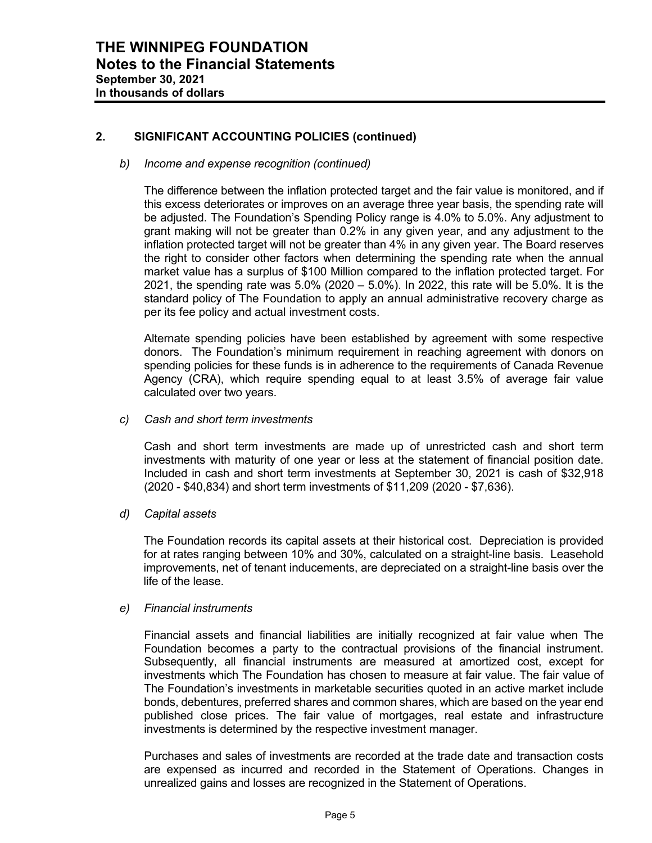#### **2. SIGNIFICANT ACCOUNTING POLICIES (continued)**

#### *b) Income and expense recognition (continued)*

The difference between the inflation protected target and the fair value is monitored, and if this excess deteriorates or improves on an average three year basis, the spending rate will be adjusted. The Foundation's Spending Policy range is 4.0% to 5.0%. Any adjustment to grant making will not be greater than 0.2% in any given year, and any adjustment to the inflation protected target will not be greater than 4% in any given year. The Board reserves the right to consider other factors when determining the spending rate when the annual market value has a surplus of \$100 Million compared to the inflation protected target. For 2021, the spending rate was 5.0% (2020 – 5.0%). In 2022, this rate will be 5.0%. It is the standard policy of The Foundation to apply an annual administrative recovery charge as per its fee policy and actual investment costs.

Alternate spending policies have been established by agreement with some respective donors. The Foundation's minimum requirement in reaching agreement with donors on spending policies for these funds is in adherence to the requirements of Canada Revenue Agency (CRA), which require spending equal to at least 3.5% of average fair value calculated over two years.

*c) Cash and short term investments* 

Cash and short term investments are made up of unrestricted cash and short term investments with maturity of one year or less at the statement of financial position date. Included in cash and short term investments at September 30, 2021 is cash of \$32,918 (2020 - \$40,834) and short term investments of \$11,209 (2020 - \$7,636).

*d) Capital assets* 

The Foundation records its capital assets at their historical cost. Depreciation is provided for at rates ranging between 10% and 30%, calculated on a straight-line basis. Leasehold improvements, net of tenant inducements, are depreciated on a straight-line basis over the life of the lease.

#### *e) Financial instruments*

Financial assets and financial liabilities are initially recognized at fair value when The Foundation becomes a party to the contractual provisions of the financial instrument. Subsequently, all financial instruments are measured at amortized cost, except for investments which The Foundation has chosen to measure at fair value. The fair value of The Foundation's investments in marketable securities quoted in an active market include bonds, debentures, preferred shares and common shares, which are based on the year end published close prices. The fair value of mortgages, real estate and infrastructure investments is determined by the respective investment manager.

Purchases and sales of investments are recorded at the trade date and transaction costs are expensed as incurred and recorded in the Statement of Operations. Changes in unrealized gains and losses are recognized in the Statement of Operations.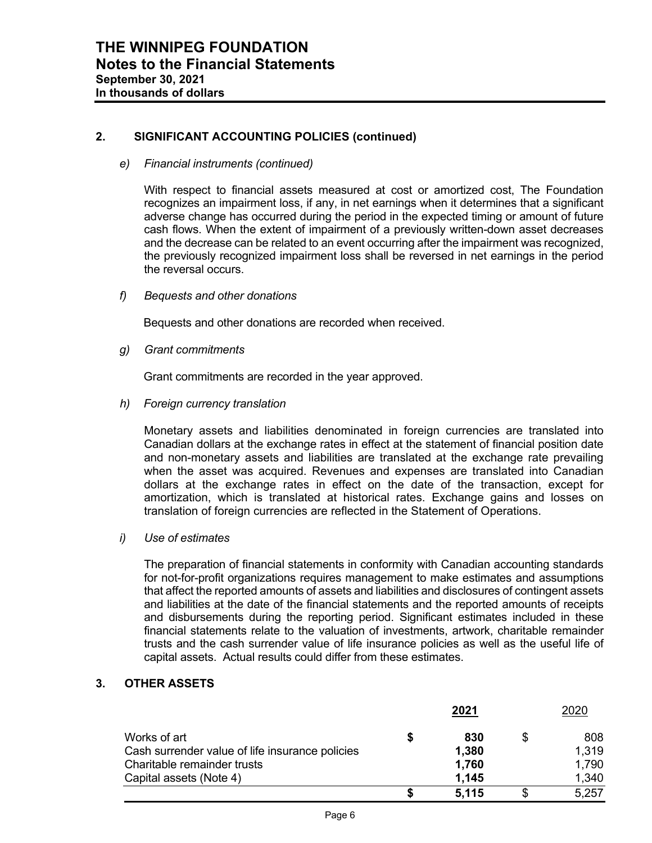#### **2. SIGNIFICANT ACCOUNTING POLICIES (continued)**

#### *e) Financial instruments (continued)*

With respect to financial assets measured at cost or amortized cost, The Foundation recognizes an impairment loss, if any, in net earnings when it determines that a significant adverse change has occurred during the period in the expected timing or amount of future cash flows. When the extent of impairment of a previously written-down asset decreases and the decrease can be related to an event occurring after the impairment was recognized, the previously recognized impairment loss shall be reversed in net earnings in the period the reversal occurs.

*f) Bequests and other donations* 

Bequests and other donations are recorded when received.

*g) Grant commitments* 

Grant commitments are recorded in the year approved.

*h) Foreign currency translation* 

Monetary assets and liabilities denominated in foreign currencies are translated into Canadian dollars at the exchange rates in effect at the statement of financial position date and non-monetary assets and liabilities are translated at the exchange rate prevailing when the asset was acquired. Revenues and expenses are translated into Canadian dollars at the exchange rates in effect on the date of the transaction, except for amortization, which is translated at historical rates. Exchange gains and losses on translation of foreign currencies are reflected in the Statement of Operations.

*i) Use of estimates* 

The preparation of financial statements in conformity with Canadian accounting standards for not-for-profit organizations requires management to make estimates and assumptions that affect the reported amounts of assets and liabilities and disclosures of contingent assets and liabilities at the date of the financial statements and the reported amounts of receipts and disbursements during the reporting period. Significant estimates included in these financial statements relate to the valuation of investments, artwork, charitable remainder trusts and the cash surrender value of life insurance policies as well as the useful life of capital assets. Actual results could differ from these estimates.

#### **3. OTHER ASSETS**

|                                                 | 2021  | 2020  |
|-------------------------------------------------|-------|-------|
| Works of art                                    | 830   | 808   |
| Cash surrender value of life insurance policies | 1,380 | 1,319 |
| Charitable remainder trusts                     | 1,760 | 1,790 |
| Capital assets (Note 4)                         | 1,145 | 1,340 |
|                                                 | 5,115 | 5,257 |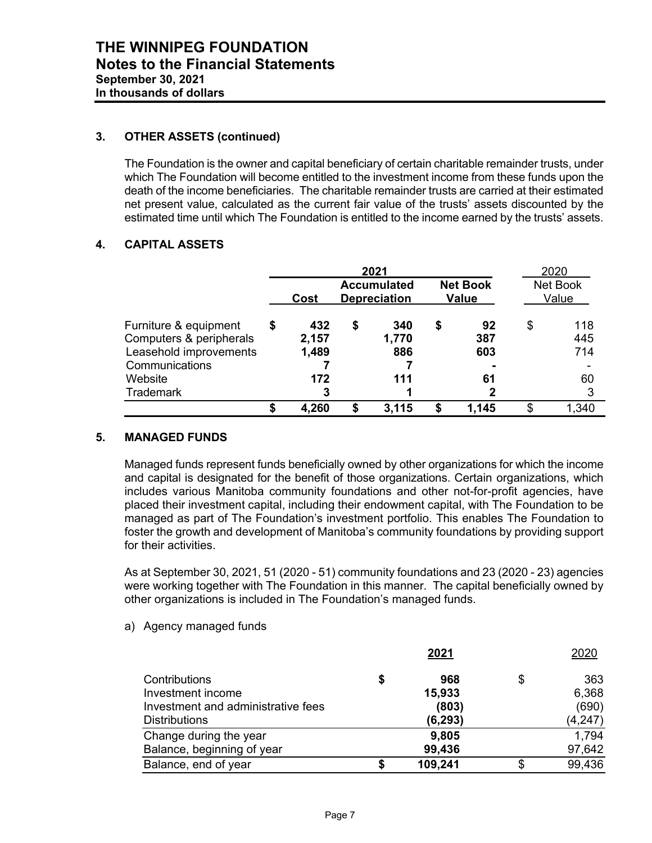#### **3. OTHER ASSETS (continued)**

The Foundation is the owner and capital beneficiary of certain charitable remainder trusts, under which The Foundation will become entitled to the investment income from these funds upon the death of the income beneficiaries. The charitable remainder trusts are carried at their estimated net present value, calculated as the current fair value of the trusts' assets discounted by the estimated time until which The Foundation is entitled to the income earned by the trusts' assets.

#### **4. CAPITAL ASSETS**

|                         |   | 2021  |                                                                              |       |    |                   |    | 2020  |
|-------------------------|---|-------|------------------------------------------------------------------------------|-------|----|-------------------|----|-------|
|                         |   | Cost  | <b>Net Book</b><br><b>Accumulated</b><br><b>Value</b><br><b>Depreciation</b> |       |    | Net Book<br>Value |    |       |
| Furniture & equipment   | S | 432   | \$                                                                           | 340   | \$ | 92                | \$ | 118   |
| Computers & peripherals |   | 2,157 |                                                                              | 1,770 |    | 387               |    | 445   |
| Leasehold improvements  |   | 1,489 |                                                                              | 886   |    | 603               |    | 714   |
| Communications          |   |       |                                                                              |       |    |                   |    |       |
| Website                 |   | 172   |                                                                              | 111   |    | 61                |    | 60    |
| <b>Trademark</b>        |   | 3     |                                                                              |       |    | 2                 |    | 3     |
|                         | S | 4,260 | S                                                                            | 3,115 | S  | 1,145             | \$ | 1,340 |

#### **5. MANAGED FUNDS**

Managed funds represent funds beneficially owned by other organizations for which the income and capital is designated for the benefit of those organizations. Certain organizations, which includes various Manitoba community foundations and other not-for-profit agencies, have placed their investment capital, including their endowment capital, with The Foundation to be managed as part of The Foundation's investment portfolio. This enables The Foundation to foster the growth and development of Manitoba's community foundations by providing support for their activities.

As at September 30, 2021, 51 (2020 - 51) community foundations and 23 (2020 - 23) agencies were working together with The Foundation in this manner. The capital beneficially owned by other organizations is included in The Foundation's managed funds.

a) Agency managed funds

|                                    | 2021      | 2020         |
|------------------------------------|-----------|--------------|
| Contributions                      | \$<br>968 | \$<br>363    |
| Investment income                  | 15,933    | 6,368        |
| Investment and administrative fees | (803)     | (690)        |
| <b>Distributions</b>               | (6, 293)  | (4, 247)     |
| Change during the year             | 9,805     | 1,794        |
| Balance, beginning of year         | 99,436    | 97,642       |
| Balance, end of year               | 109,241   | \$<br>99,436 |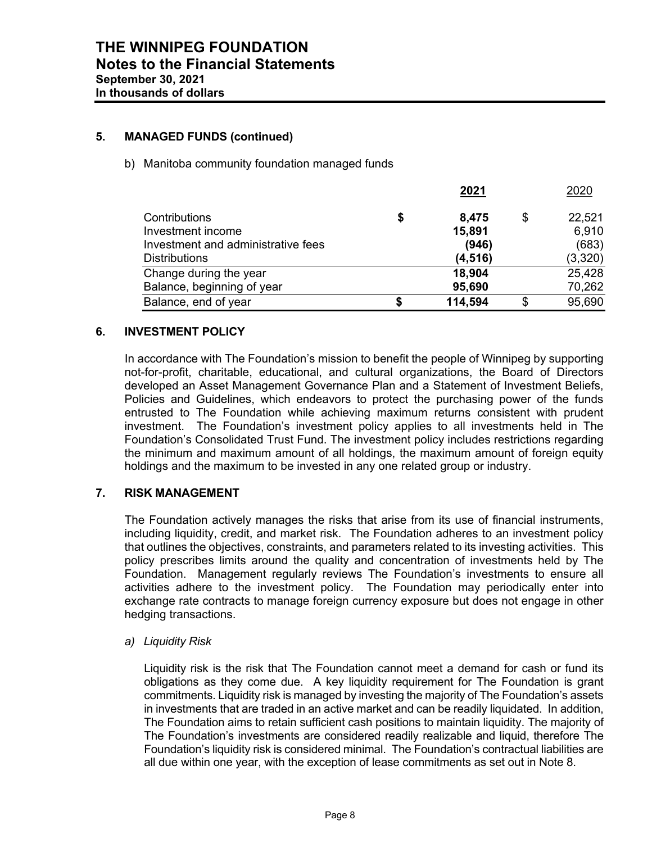#### **5. MANAGED FUNDS (continued)**

b) Manitoba community foundation managed funds

|                                    |    | 2021     | 2020         |
|------------------------------------|----|----------|--------------|
| Contributions                      | \$ | 8,475    | \$<br>22,521 |
| Investment income                  |    | 15,891   | 6,910        |
| Investment and administrative fees |    | (946)    | (683)        |
| <b>Distributions</b>               |    | (4, 516) | (3,320)      |
| Change during the year             |    | 18,904   | 25,428       |
| Balance, beginning of year         |    | 95,690   | 70,262       |
| Balance, end of year               | S  | 114,594  | \$<br>95,690 |
|                                    |    |          |              |

#### **6. INVESTMENT POLICY**

In accordance with The Foundation's mission to benefit the people of Winnipeg by supporting not-for-profit, charitable, educational, and cultural organizations, the Board of Directors developed an Asset Management Governance Plan and a Statement of Investment Beliefs, Policies and Guidelines, which endeavors to protect the purchasing power of the funds entrusted to The Foundation while achieving maximum returns consistent with prudent investment. The Foundation's investment policy applies to all investments held in The Foundation's Consolidated Trust Fund. The investment policy includes restrictions regarding the minimum and maximum amount of all holdings, the maximum amount of foreign equity holdings and the maximum to be invested in any one related group or industry.

#### **7. RISK MANAGEMENT**

The Foundation actively manages the risks that arise from its use of financial instruments, including liquidity, credit, and market risk. The Foundation adheres to an investment policy that outlines the objectives, constraints, and parameters related to its investing activities. This policy prescribes limits around the quality and concentration of investments held by The Foundation. Management regularly reviews The Foundation's investments to ensure all activities adhere to the investment policy. The Foundation may periodically enter into exchange rate contracts to manage foreign currency exposure but does not engage in other hedging transactions.

#### *a) Liquidity Risk*

Liquidity risk is the risk that The Foundation cannot meet a demand for cash or fund its obligations as they come due. A key liquidity requirement for The Foundation is grant commitments. Liquidity risk is managed by investing the majority of The Foundation's assets in investments that are traded in an active market and can be readily liquidated. In addition, The Foundation aims to retain sufficient cash positions to maintain liquidity. The majority of The Foundation's investments are considered readily realizable and liquid, therefore The Foundation's liquidity risk is considered minimal. The Foundation's contractual liabilities are all due within one year, with the exception of lease commitments as set out in Note 8.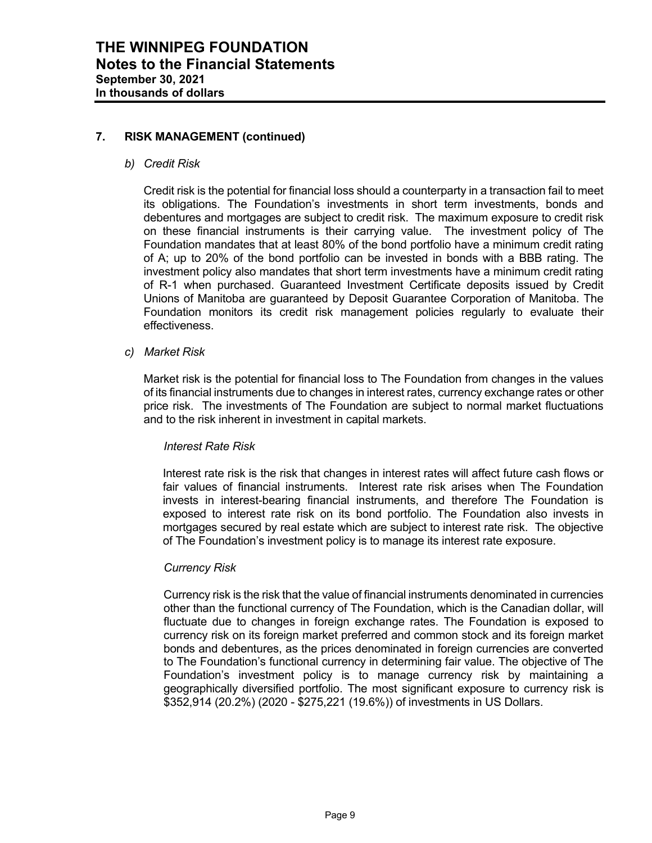#### **7. RISK MANAGEMENT (continued)**

*b) Credit Risk* 

Credit risk is the potential for financial loss should a counterparty in a transaction fail to meet its obligations. The Foundation's investments in short term investments, bonds and debentures and mortgages are subject to credit risk. The maximum exposure to credit risk on these financial instruments is their carrying value. The investment policy of The Foundation mandates that at least 80% of the bond portfolio have a minimum credit rating of A; up to 20% of the bond portfolio can be invested in bonds with a BBB rating. The investment policy also mandates that short term investments have a minimum credit rating of R-1 when purchased. Guaranteed Investment Certificate deposits issued by Credit Unions of Manitoba are guaranteed by Deposit Guarantee Corporation of Manitoba. The Foundation monitors its credit risk management policies regularly to evaluate their effectiveness.

*c) Market Risk* 

Market risk is the potential for financial loss to The Foundation from changes in the values of its financial instruments due to changes in interest rates, currency exchange rates or other price risk. The investments of The Foundation are subject to normal market fluctuations and to the risk inherent in investment in capital markets.

#### *Interest Rate Risk*

Interest rate risk is the risk that changes in interest rates will affect future cash flows or fair values of financial instruments. Interest rate risk arises when The Foundation invests in interest-bearing financial instruments, and therefore The Foundation is exposed to interest rate risk on its bond portfolio. The Foundation also invests in mortgages secured by real estate which are subject to interest rate risk. The objective of The Foundation's investment policy is to manage its interest rate exposure.

#### *Currency Risk*

Currency risk is the risk that the value of financial instruments denominated in currencies other than the functional currency of The Foundation, which is the Canadian dollar, will fluctuate due to changes in foreign exchange rates. The Foundation is exposed to currency risk on its foreign market preferred and common stock and its foreign market bonds and debentures, as the prices denominated in foreign currencies are converted to The Foundation's functional currency in determining fair value. The objective of The Foundation's investment policy is to manage currency risk by maintaining a geographically diversified portfolio. The most significant exposure to currency risk is \$352,914 (20.2%) (2020 - \$275,221 (19.6%)) of investments in US Dollars.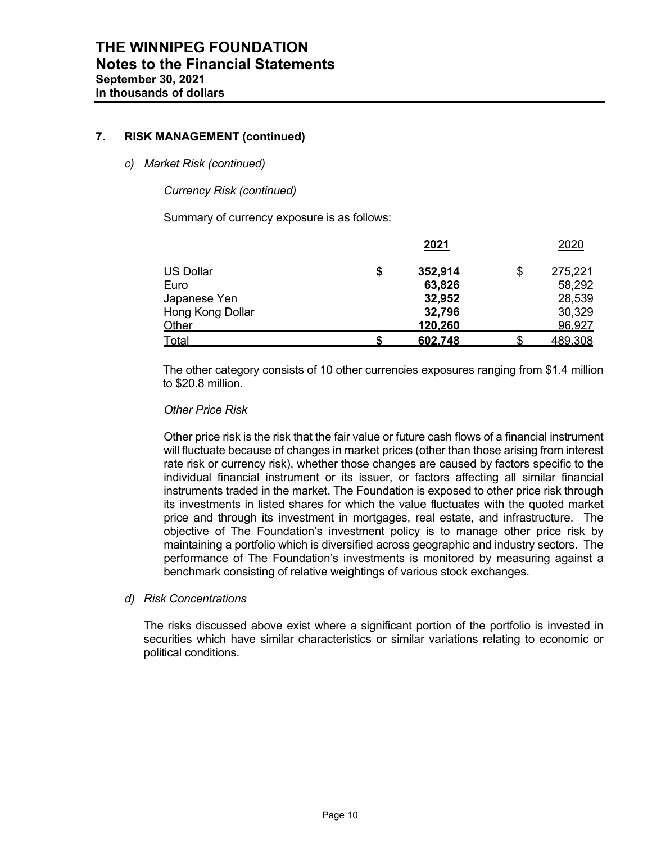#### **7. RISK MANAGEMENT (continued)**

#### *c) Market Risk (continued)*

#### *Currency Risk (continued)*

Summary of currency exposure is as follows:

|                  | 2021          | 2020          |
|------------------|---------------|---------------|
| <b>US Dollar</b> | \$<br>352,914 | \$<br>275,221 |
| Euro             | 63,826        | 58,292        |
| Japanese Yen     | 32,952        | 28,539        |
| Hong Kong Dollar | 32,796        | 30,329        |
| Other            | 120,260       | 96,927        |
| Total            | 602,748       | 489,308       |

 The other category consists of 10 other currencies exposures ranging from \$1.4 million to \$20.8 million.

#### *Other Price Risk*

Other price risk is the risk that the fair value or future cash flows of a financial instrument will fluctuate because of changes in market prices (other than those arising from interest rate risk or currency risk), whether those changes are caused by factors specific to the individual financial instrument or its issuer, or factors affecting all similar financial instruments traded in the market. The Foundation is exposed to other price risk through its investments in listed shares for which the value fluctuates with the quoted market price and through its investment in mortgages, real estate, and infrastructure. The objective of The Foundation's investment policy is to manage other price risk by maintaining a portfolio which is diversified across geographic and industry sectors. The performance of The Foundation's investments is monitored by measuring against a benchmark consisting of relative weightings of various stock exchanges.

#### *d) Risk Concentrations*

The risks discussed above exist where a significant portion of the portfolio is invested in securities which have similar characteristics or similar variations relating to economic or political conditions.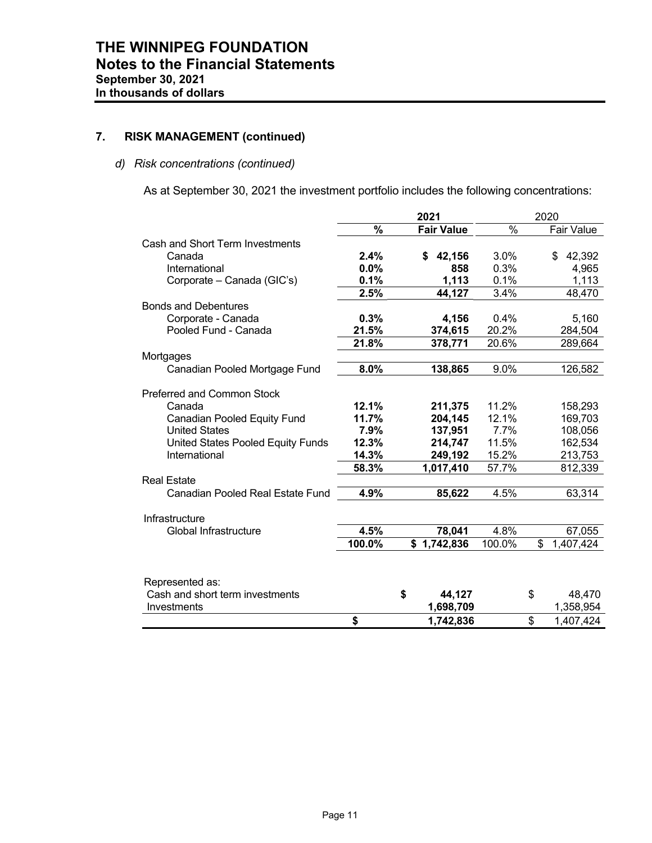#### **7. RISK MANAGEMENT (continued)**

#### *d) Risk concentrations (continued)*

As at September 30, 2021 the investment portfolio includes the following concentrations:

|                                                     |               | 2021               |                | 2020               |
|-----------------------------------------------------|---------------|--------------------|----------------|--------------------|
|                                                     | %             | <b>Fair Value</b>  | $\%$           | Fair Value         |
| Cash and Short Term Investments                     |               |                    |                |                    |
| Canada                                              | 2.4%          | 42,156<br>\$       | 3.0%           | 42,392<br>\$       |
| International                                       | 0.0%          | 858                | 0.3%           | 4,965              |
| Corporate - Canada (GIC's)                          | 0.1%          | 1,113              | 0.1%           | 1,113              |
|                                                     | 2.5%          | 44,127             | 3.4%           | 48,470             |
| <b>Bonds and Debentures</b>                         |               |                    |                |                    |
| Corporate - Canada                                  | 0.3%          | 4,156              | 0.4%           | 5,160              |
| Pooled Fund - Canada                                | 21.5%         | 374,615            | 20.2%          | 284,504            |
|                                                     | 21.8%         | 378,771            | 20.6%          | 289,664            |
| Mortgages                                           |               |                    |                |                    |
| Canadian Pooled Mortgage Fund                       | 8.0%          | 138,865            | 9.0%           | 126,582            |
|                                                     |               |                    |                |                    |
| <b>Preferred and Common Stock</b>                   |               |                    |                |                    |
| Canada                                              | 12.1%         | 211,375            | 11.2%          | 158,293            |
| Canadian Pooled Equity Fund<br><b>United States</b> | 11.7%<br>7.9% | 204,145<br>137,951 | 12.1%<br>7.7%  | 169,703<br>108,056 |
|                                                     | 12.3%         |                    |                |                    |
| United States Pooled Equity Funds<br>International  | 14.3%         | 214,747<br>249,192 | 11.5%<br>15.2% | 162,534<br>213,753 |
|                                                     | 58.3%         | 1,017,410          | 57.7%          | 812,339            |
| <b>Real Estate</b>                                  |               |                    |                |                    |
|                                                     |               |                    |                |                    |
| Canadian Pooled Real Estate Fund                    | 4.9%          | 85,622             | 4.5%           | 63,314             |
| Infrastructure                                      |               |                    |                |                    |
| Global Infrastructure                               | 4.5%          | 78,041             | 4.8%           | 67,055             |
|                                                     | 100.0%        | \$1,742,836        | 100.0%         | \$<br>1,407,424    |
|                                                     |               |                    |                |                    |
| Represented as:                                     |               |                    |                |                    |
| Cash and short term investments                     |               | \$<br>44,127       |                | \$<br>48,470       |
| Investments                                         |               | 1,698,709          |                | 1,358,954          |
|                                                     | \$            | 1,742,836          |                | \$<br>1,407,424    |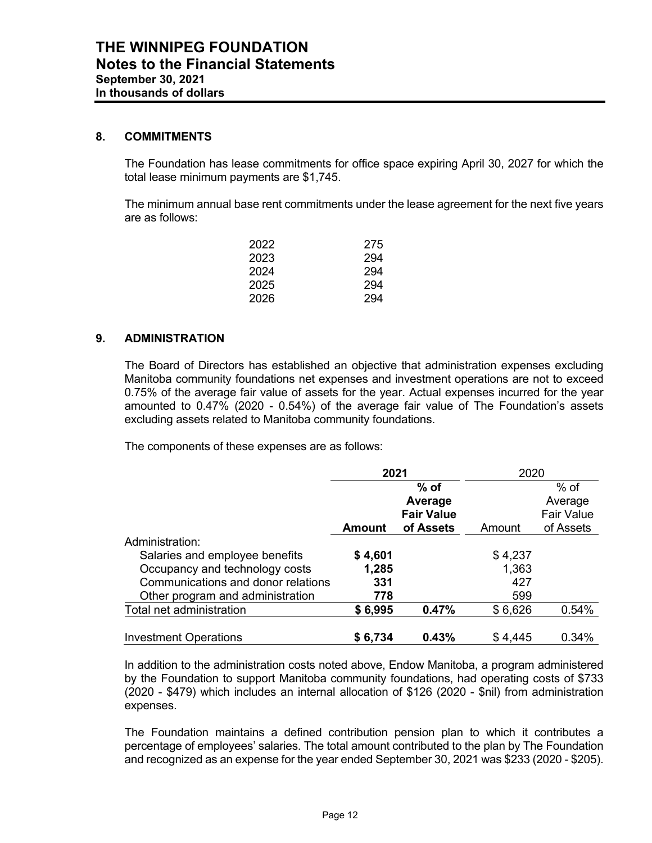#### **8. COMMITMENTS**

The Foundation has lease commitments for office space expiring April 30, 2027 for which the total lease minimum payments are \$1,745.

The minimum annual base rent commitments under the lease agreement for the next five years are as follows:

| 2022 | 275 |
|------|-----|
| 2023 | 294 |
| 2024 | 294 |
| 2025 | 294 |
| 2026 | 294 |

#### **9. ADMINISTRATION**

The Board of Directors has established an objective that administration expenses excluding Manitoba community foundations net expenses and investment operations are not to exceed 0.75% of the average fair value of assets for the year. Actual expenses incurred for the year amounted to 0.47% (2020 - 0.54%) of the average fair value of The Foundation's assets excluding assets related to Manitoba community foundations.

The components of these expenses are as follows:

|                                    |         | 2021<br>2020                                        |         |                                                     |
|------------------------------------|---------|-----------------------------------------------------|---------|-----------------------------------------------------|
|                                    | Amount  | $%$ of<br>Average<br><b>Fair Value</b><br>of Assets | Amount  | $%$ of<br>Average<br><b>Fair Value</b><br>of Assets |
| Administration:                    |         |                                                     |         |                                                     |
| Salaries and employee benefits     | \$4,601 |                                                     | \$4,237 |                                                     |
| Occupancy and technology costs     | 1,285   |                                                     | 1,363   |                                                     |
| Communications and donor relations | 331     |                                                     | 427     |                                                     |
| Other program and administration   | 778     |                                                     | 599     |                                                     |
| Total net administration           | \$6,995 | 0.47%                                               | \$6,626 | 0.54%                                               |
| <b>Investment Operations</b>       | \$6,734 | 0.43%                                               | \$4,445 | 0.34%                                               |

In addition to the administration costs noted above, Endow Manitoba, a program administered by the Foundation to support Manitoba community foundations, had operating costs of \$733 (2020 - \$479) which includes an internal allocation of \$126 (2020 - \$nil) from administration expenses.

The Foundation maintains a defined contribution pension plan to which it contributes a percentage of employees' salaries. The total amount contributed to the plan by The Foundation and recognized as an expense for the year ended September 30, 2021 was \$233 (2020 - \$205).